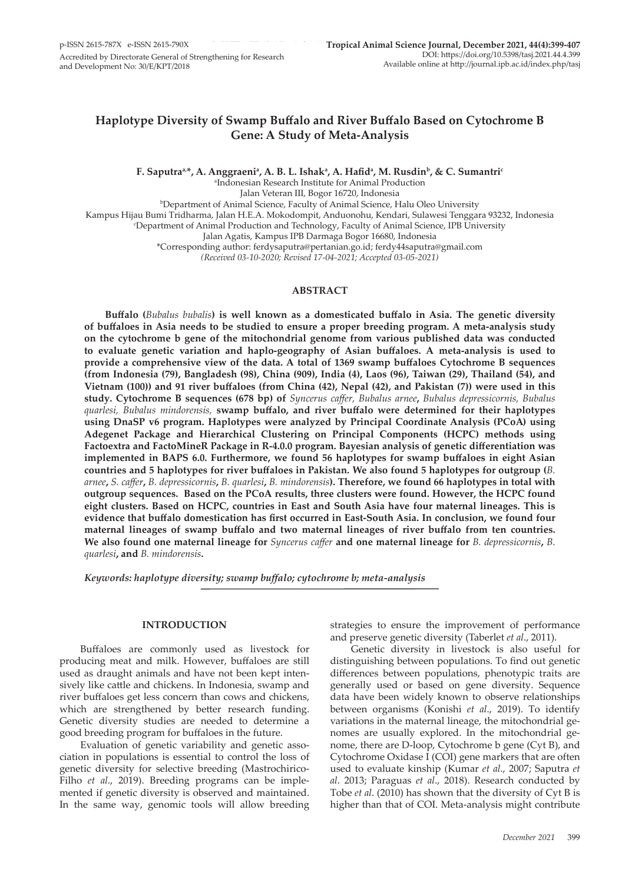# **Haplotype Diversity of Swamp Buffalo and River Buffalo Based on Cytochrome B Gene: A Study of Meta-Analysis**

**F. Saputraa,\*, A. Anggraenia , A. B. L. Ishak<sup>a</sup> , A. Hafid<sup>a</sup> , M. Rusdinb, & C. Sumantric**

a Indonesian Research Institute for Animal Production

Jalan Veteran III, Bogor 16720, Indonesia

b Department of Animal Science, Faculty of Animal Science, Halu Oleo University

Kampus Hijau Bumi Tridharma, Jalan H.E.A. Mokodompit, Anduonohu, Kendari, Sulawesi Tenggara 93232, Indonesia

c Department of Animal Production and Technology, Faculty of Animal Science, IPB University

Jalan Agatis, Kampus IPB Darmaga Bogor 16680, Indonesia

\*Corresponding author: ferdysaputra@pertanian.go.id; ferdy44saputra@gmail.com

*(Received 03-10-2020; Revised 17-04-2021; Accepted 03-05-2021)*

### **ABSTRACT**

**Buffalo (***Bubalus bubalis***) is well known as a domesticated buffalo in Asia. The genetic diversity of buffaloes in Asia needs to be studied to ensure a proper breeding program. A meta-analysis study on the cytochrome b gene of the mitochondrial genome from various published data was conducted to evaluate genetic variation and haplo-geography of Asian buffaloes. A meta-analysis is used to provide a comprehensive view of the data. A total of 1369 swamp buffaloes Cytochrome B sequences (from Indonesia (79), Bangladesh (98), China (909), India (4), Laos (96), Taiwan (29), Thailand (54), and Vietnam (100)) and 91 river buffaloes (from China (42), Nepal (42), and Pakistan (7)) were used in this study. Cytochrome B sequences (678 bp) of** *Syncerus caffer, Bubalus arnee***,** *Bubalus depressicornis, Bubalus quarlesi, Bubalus mindorensis,* **swamp buffalo, and river buffalo were determined for their haplotypes using DnaSP v6 program. Haplotypes were analyzed by Principal Coordinate Analysis (PCoA) using Adegenet Package and Hierarchical Clustering on Principal Components (HCPC) methods using Factoextra and FactoMineR Package in R-4.0.0 program. Bayesian analysis of genetic differentiation was implemented in BAPS 6.0. Furthermore, we found 56 haplotypes for swamp buffaloes in eight Asian countries and 5 haplotypes for river buffaloes in Pakistan. We also found 5 haplotypes for outgroup (***B. arnee***,** *S. caffer***,** *B. depressicornis***,** *B. quarlesi***,** *B. mindorensis***). Therefore, we found 66 haplotypes in total with outgroup sequences. Based on the PCoA results, three clusters were found. However, the HCPC found eight clusters. Based on HCPC, countries in East and South Asia have four maternal lineages. This is evidence that buffalo domestication has first occurred in East-South Asia. In conclusion, we found four maternal lineages of swamp buffalo and two maternal lineages of river buffalo from ten countries. We also found one maternal lineage for** *Syncerus caffer* **and one maternal lineage for** *B. depressicornis***,** *B. quarlesi***, and** *B. mindorensis***.** 

*Keywords: haplotype diversity; swamp buffalo; cytochrome b; meta-analysis*

# **INTRODUCTION**

Buffaloes are commonly used as livestock for producing meat and milk. However, buffaloes are still used as draught animals and have not been kept intensively like cattle and chickens. In Indonesia, swamp and river buffaloes get less concern than cows and chickens, which are strengthened by better research funding. Genetic diversity studies are needed to determine a good breeding program for buffaloes in the future.

Evaluation of genetic variability and genetic association in populations is essential to control the loss of genetic diversity for selective breeding (Mastrochirico-Filho *et al*., 2019). Breeding programs can be implemented if genetic diversity is observed and maintained. In the same way, genomic tools will allow breeding strategies to ensure the improvement of performance and preserve genetic diversity (Taberlet *et al*., 2011).

Genetic diversity in livestock is also useful for distinguishing between populations. To find out genetic differences between populations, phenotypic traits are generally used or based on gene diversity. Sequence data have been widely known to observe relationships between organisms (Konishi *et al*., 2019). To identify variations in the maternal lineage, the mitochondrial genomes are usually explored. In the mitochondrial genome, there are D-loop, Cytochrome b gene (Cyt B), and Cytochrome Oxidase I (COI) gene markers that are often used to evaluate kinship (Kumar *et al*., 2007; Saputra *et al*. 2013; Paraguas *et al*., 2018). Research conducted by Tobe *et al*. (2010) has shown that the diversity of Cyt B is higher than that of COI. Meta-analysis might contribute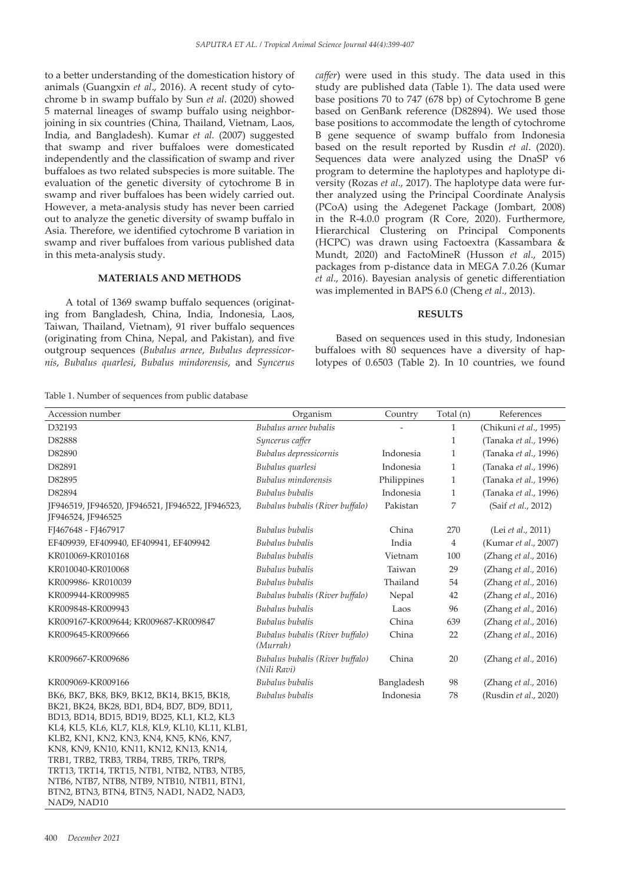to a better understanding of the domestication history of animals (Guangxin *et al*., 2016). A recent study of cytochrome b in swamp buffalo by Sun *et al*. (2020) showed 5 maternal lineages of swamp buffalo using neighborjoining in six countries (China, Thailand, Vietnam, Laos, India, and Bangladesh). Kumar *et al.* (2007) suggested that swamp and river buffaloes were domesticated independently and the classification of swamp and river buffaloes as two related subspecies is more suitable. The evaluation of the genetic diversity of cytochrome B in swamp and river buffaloes has been widely carried out. However, a meta-analysis study has never been carried out to analyze the genetic diversity of swamp buffalo in Asia. Therefore, we identified cytochrome B variation in swamp and river buffaloes from various published data in this meta-analysis study.

## **MATERIALS AND METHODS**

A total of 1369 swamp buffalo sequences (originating from Bangladesh, China, India, Indonesia, Laos, Taiwan, Thailand, Vietnam), 91 river buffalo sequences (originating from China, Nepal, and Pakistan), and five outgroup sequences (*Bubalus arnee*, *Bubalus depressicornis*, *Bubalus quarlesi*, *Bubalus mindorensis*, and *Syncerus*  *caffer*) were used in this study. The data used in this study are published data (Table 1). The data used were base positions 70 to 747 (678 bp) of Cytochrome B gene based on GenBank reference (D82894). We used those base positions to accommodate the length of cytochrome B gene sequence of swamp buffalo from Indonesia based on the result reported by Rusdin *et al*. (2020). Sequences data were analyzed using the DnaSP v6 program to determine the haplotypes and haplotype diversity (Rozas *et al*., 2017). The haplotype data were further analyzed using the Principal Coordinate Analysis (PCoA) using the Adegenet Package (Jombart, 2008) in the R-4.0.0 program (R Core, 2020). Furthermore, Hierarchical Clustering on Principal Components (HCPC) was drawn using Factoextra (Kassambara & Mundt, 2020) and FactoMineR (Husson *et al*., 2015) packages from p-distance data in MEGA 7.0.26 (Kumar *et al*., 2016). Bayesian analysis of genetic differentiation was implemented in BAPS 6.0 (Cheng *et al*., 2013).

#### **RESULTS**

Based on sequences used in this study, Indonesian buffaloes with 80 sequences have a diversity of haplotypes of 0.6503 (Table 2). In 10 countries, we found

Table 1. Number of sequences from public database

| Accession number                                                                                                                                                                                                                                                                                                                 | Organism                                       | Country     | Total (n)    | References             |
|----------------------------------------------------------------------------------------------------------------------------------------------------------------------------------------------------------------------------------------------------------------------------------------------------------------------------------|------------------------------------------------|-------------|--------------|------------------------|
| D32193                                                                                                                                                                                                                                                                                                                           | Bubalus arnee bubalis                          |             | 1            | (Chikuni et al., 1995) |
| D82888                                                                                                                                                                                                                                                                                                                           | Syncerus caffer                                |             | $\mathbf{1}$ | (Tanaka et al., 1996)  |
| D82890                                                                                                                                                                                                                                                                                                                           | Bubalus depressicornis                         | Indonesia   | 1            | (Tanaka et al., 1996)  |
| D82891                                                                                                                                                                                                                                                                                                                           | Bubalus quarlesi                               | Indonesia   | $\mathbf{1}$ | (Tanaka et al., 1996)  |
| D82895                                                                                                                                                                                                                                                                                                                           | Bubalus mindorensis                            | Philippines | $\mathbf{1}$ | (Tanaka et al., 1996)  |
| D82894                                                                                                                                                                                                                                                                                                                           | Bubalus bubalis                                | Indonesia   | $\mathbf{1}$ | (Tanaka et al., 1996)  |
| JF946519, JF946520, JF946521, JF946522, JF946523,<br>JF946524, JF946525                                                                                                                                                                                                                                                          | Bubalus bubalis (River buffalo)                | Pakistan    | 7            | (Saif et al., 2012)    |
| FJ467648 - FJ467917                                                                                                                                                                                                                                                                                                              | Bubalus bubalis                                | China       | 270          | (Lei et al., 2011)     |
| EF409939, EF409940, EF409941, EF409942                                                                                                                                                                                                                                                                                           | Bubalus bubalis                                | India       | 4            | (Kumar et al., 2007)   |
| KR010069-KR010168                                                                                                                                                                                                                                                                                                                | Bubalus bubalis                                | Vietnam     | 100          | (Zhang et al., 2016)   |
| KR010040-KR010068                                                                                                                                                                                                                                                                                                                | Bubalus bubalis                                | Taiwan      | 29           | (Zhang et al., 2016)   |
| KR009986- KR010039                                                                                                                                                                                                                                                                                                               | Bubalus bubalis                                | Thailand    | 54           | (Zhang et al., 2016)   |
| KR009944-KR009985                                                                                                                                                                                                                                                                                                                | Bubalus bubalis (River buffalo)                | Nepal       | 42           | (Zhang et al., 2016)   |
| KR009848-KR009943                                                                                                                                                                                                                                                                                                                | Bubalus bubalis                                | Laos        | 96           | (Zhang et al., 2016)   |
| KR009167-KR009644; KR009687-KR009847                                                                                                                                                                                                                                                                                             | Bubalus bubalis                                | China       | 639          | (Zhang et al., 2016)   |
| KR009645-KR009666                                                                                                                                                                                                                                                                                                                | Bubalus bubalis (River buffalo)<br>(Murrah)    | China       | 22           | (Zhang et al., 2016)   |
| KR009667-KR009686                                                                                                                                                                                                                                                                                                                | Bubalus bubalis (River buffalo)<br>(Nili Ravi) | China       | 20           | (Zhang et al., 2016)   |
| KR009069-KR009166                                                                                                                                                                                                                                                                                                                | Bubalus bubalis                                | Bangladesh  | 98           | (Zhang et al., 2016)   |
| BK6, BK7, BK8, BK9, BK12, BK14, BK15, BK18,<br>BK21, BK24, BK28, BD1, BD4, BD7, BD9, BD11,<br>BD13, BD14, BD15, BD19, BD25, KL1, KL2, KL3<br>KL4, KL5, KL6, KL7, KL8, KL9, KL10, KL11, KLB1,<br>KLB2, KN1, KN2, KN3, KN4, KN5, KN6, KN7,<br>KN8, KN9, KN10, KN11, KN12, KN13, KN14,<br>TRB1, TRB2, TRB3, TRB4, TRB5, TRP6, TRP8, | Bubalus bubalis                                | Indonesia   | 78           | (Rusdin et al., 2020)  |
| TRT13, TRT14, TRT15, NTB1, NTB2, NTB3, NTB5,<br>NTB6, NTB7, NTB8, NTB9, NTB10, NTB11, BTN1,<br>BTN2, BTN3, BTN4, BTN5, NAD1, NAD2, NAD3,                                                                                                                                                                                         |                                                |             |              |                        |

NAD9, NAD10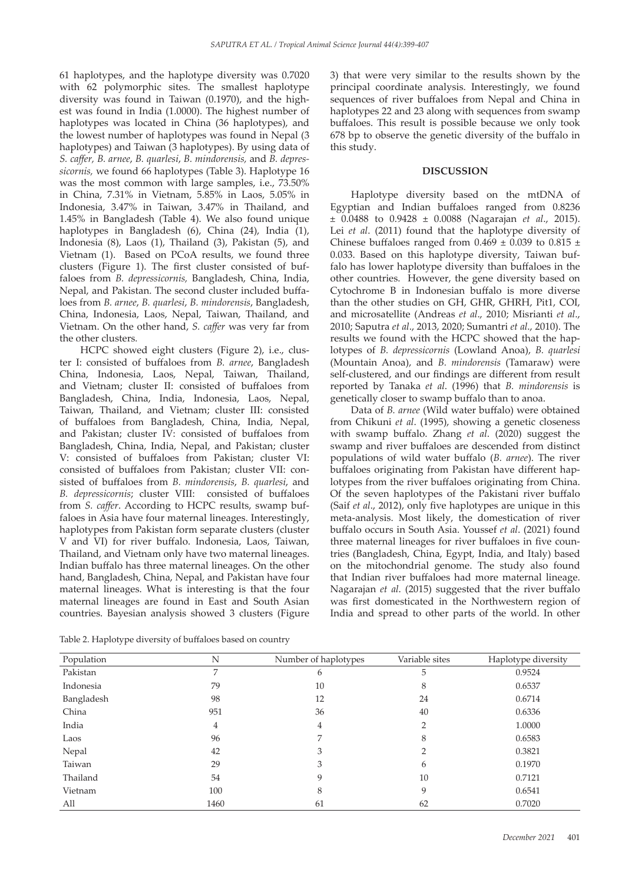61 haplotypes, and the haplotype diversity was 0.7020 with 62 polymorphic sites. The smallest haplotype diversity was found in Taiwan (0.1970), and the highest was found in India (1.0000). The highest number of haplotypes was located in China (36 haplotypes), and the lowest number of haplotypes was found in Nepal (3 haplotypes) and Taiwan (3 haplotypes). By using data of *S. caffer, B. arnee*, *B. quarlesi*, *B. mindorensis,* and *B. depressicornis,* we found 66 haplotypes (Table 3). Haplotype 16 was the most common with large samples, i.e., 73.50% in China, 7.31% in Vietnam, 5.85% in Laos, 5.05% in Indonesia, 3.47% in Taiwan, 3.47% in Thailand, and 1.45% in Bangladesh (Table 4). We also found unique haplotypes in Bangladesh (6), China (24), India (1), Indonesia (8), Laos (1), Thailand (3), Pakistan (5), and Vietnam (1). Based on PCoA results, we found three clusters (Figure 1). The first cluster consisted of buffaloes from *B. depressicornis,* Bangladesh, China, India, Nepal, and Pakistan. The second cluster included buffaloes from *B. arnee*, *B. quarlesi*, *B. mindorensis*, Bangladesh, China, Indonesia, Laos, Nepal, Taiwan, Thailand, and Vietnam. On the other hand, *S. caffer* was very far from the other clusters*.*

HCPC showed eight clusters (Figure 2), i.e., cluster I: consisted of buffaloes from *B. arnee*, Bangladesh China, Indonesia, Laos, Nepal, Taiwan, Thailand, and Vietnam; cluster II: consisted of buffaloes from Bangladesh, China, India, Indonesia, Laos, Nepal, Taiwan, Thailand, and Vietnam; cluster III: consisted of buffaloes from Bangladesh, China, India, Nepal, and Pakistan; cluster IV: consisted of buffaloes from Bangladesh, China, India, Nepal, and Pakistan; cluster V: consisted of buffaloes from Pakistan; cluster VI: consisted of buffaloes from Pakistan; cluster VII: consisted of buffaloes from *B. mindorensis*, *B. quarlesi*, and *B. depressicornis*; cluster VIII: consisted of buffaloes from *S. caffer*. According to HCPC results, swamp buffaloes in Asia have four maternal lineages. Interestingly, haplotypes from Pakistan form separate clusters (cluster V and VI) for river buffalo. Indonesia, Laos, Taiwan, Thailand, and Vietnam only have two maternal lineages. Indian buffalo has three maternal lineages. On the other hand, Bangladesh, China, Nepal, and Pakistan have four maternal lineages. What is interesting is that the four maternal lineages are found in East and South Asian countries. Bayesian analysis showed 3 clusters (Figure

Table 2. Haplotype diversity of buffaloes based on country

3) that were very similar to the results shown by the principal coordinate analysis. Interestingly, we found sequences of river buffaloes from Nepal and China in haplotypes 22 and 23 along with sequences from swamp buffaloes. This result is possible because we only took 678 bp to observe the genetic diversity of the buffalo in this study.

### **DISCUSSION**

Haplotype diversity based on the mtDNA of Egyptian and Indian buffaloes ranged from 0.8236 ± 0.0488 to 0.9428 ± 0.0088 (Nagarajan *et al*., 2015). Lei *et al*. (2011) found that the haplotype diversity of Chinese buffaloes ranged from  $0.469 \pm 0.039$  to  $0.815 \pm 0.039$ 0.033. Based on this haplotype diversity, Taiwan buffalo has lower haplotype diversity than buffaloes in the other countries. However, the gene diversity based on Cytochrome B in Indonesian buffalo is more diverse than the other studies on GH, GHR, GHRH, Pit1, COI, and microsatellite (Andreas *et al*., 2010; Misrianti *et al*., 2010; Saputra *et al*., 2013, 2020; Sumantri *et al*., 2010). The results we found with the HCPC showed that the haplotypes of *B. depressicornis* (Lowland Anoa), *B. quarlesi*  (Mountain Anoa), and *B. mindorensis* (Tamaraw) were self-clustered, and our findings are different from result reported by Tanaka *et al*. (1996) that *B. mindorensis* is genetically closer to swamp buffalo than to anoa.

Data of *B. arnee* (Wild water buffalo) were obtained from Chikuni *et al*. (1995), showing a genetic closeness with swamp buffalo. Zhang *et al*. (2020) suggest the swamp and river buffaloes are descended from distinct populations of wild water buffalo (*B. arnee*). The river buffaloes originating from Pakistan have different haplotypes from the river buffaloes originating from China. Of the seven haplotypes of the Pakistani river buffalo (Saif *et al*., 2012), only five haplotypes are unique in this meta-analysis. Most likely, the domestication of river buffalo occurs in South Asia. Youssef *et al*. (2021) found three maternal lineages for river buffaloes in five countries (Bangladesh, China, Egypt, India, and Italy) based on the mitochondrial genome. The study also found that Indian river buffaloes had more maternal lineage. Nagarajan *et al*. (2015) suggested that the river buffalo was first domesticated in the Northwestern region of India and spread to other parts of the world. In other

| Population | N    | Number of haplotypes | Variable sites | Haplotype diversity |
|------------|------|----------------------|----------------|---------------------|
| Pakistan   | 7    | 6                    | 5              | 0.9524              |
| Indonesia  | 79   | 10                   | 8              | 0.6537              |
| Bangladesh | 98   | 12                   | 24             | 0.6714              |
| China      | 951  | 36                   | 40             | 0.6336              |
| India      | 4    | 4                    | 2              | 1.0000              |
| Laos       | 96   |                      | 8              | 0.6583              |
| Nepal      | 42   | 3                    | 2              | 0.3821              |
| Taiwan     | 29   | 3                    | 6              | 0.1970              |
| Thailand   | 54   | 9                    | 10             | 0.7121              |
| Vietnam    | 100  | 8                    | 9              | 0.6541              |
| All        | 1460 | 61                   | 62             | 0.7020              |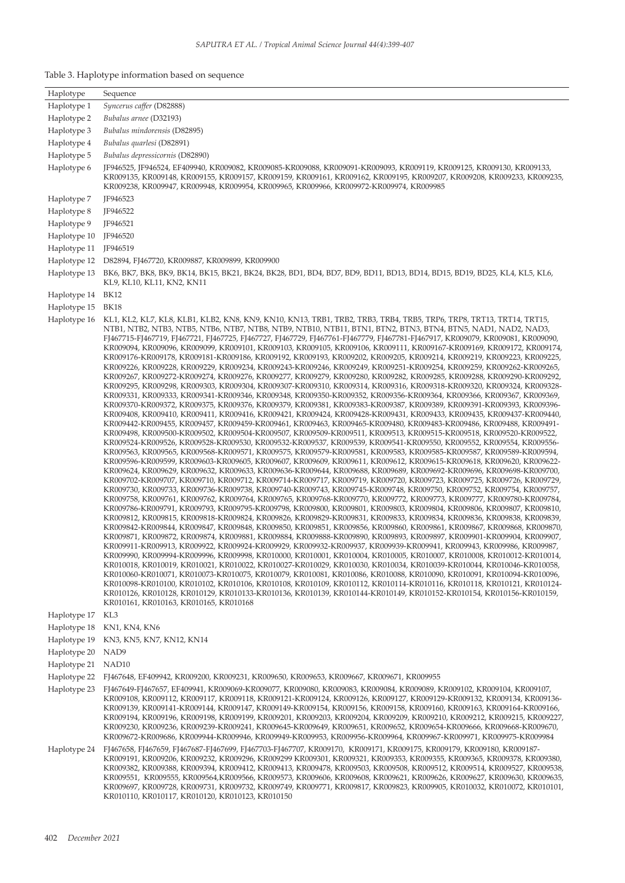| Haplotype                    | Sequence                                                                                                                                                                                                                                                                                                                                                                                                                                                                                                                                                                                                                                                                                                                                                                                                                                                                                                                                                                                                                                                                                                                                                                                                                                                                                                                                                                                                                                                                                                                                                                                                                                                                                                                                                                                                                                                                                                                                                                                                                                                                                                                                                                                                                                                                                                                                                                                                                                                                                                                                                                                                                                                                                                                                                                                                                                                                                                                                                                                                                                                                                                                                                                                                                                                                                                                                                                                                                                                                                                                                                                                                                                                                                                                                                                                          |
|------------------------------|---------------------------------------------------------------------------------------------------------------------------------------------------------------------------------------------------------------------------------------------------------------------------------------------------------------------------------------------------------------------------------------------------------------------------------------------------------------------------------------------------------------------------------------------------------------------------------------------------------------------------------------------------------------------------------------------------------------------------------------------------------------------------------------------------------------------------------------------------------------------------------------------------------------------------------------------------------------------------------------------------------------------------------------------------------------------------------------------------------------------------------------------------------------------------------------------------------------------------------------------------------------------------------------------------------------------------------------------------------------------------------------------------------------------------------------------------------------------------------------------------------------------------------------------------------------------------------------------------------------------------------------------------------------------------------------------------------------------------------------------------------------------------------------------------------------------------------------------------------------------------------------------------------------------------------------------------------------------------------------------------------------------------------------------------------------------------------------------------------------------------------------------------------------------------------------------------------------------------------------------------------------------------------------------------------------------------------------------------------------------------------------------------------------------------------------------------------------------------------------------------------------------------------------------------------------------------------------------------------------------------------------------------------------------------------------------------------------------------------------------------------------------------------------------------------------------------------------------------------------------------------------------------------------------------------------------------------------------------------------------------------------------------------------------------------------------------------------------------------------------------------------------------------------------------------------------------------------------------------------------------------------------------------------------------------------------------------------------------------------------------------------------------------------------------------------------------------------------------------------------------------------------------------------------------------------------------------------------------------------------------------------------------------------------------------------------------------------------------------------------------------------------------------------------------|
| Haplotype 1                  | Syncerus caffer (D82888)                                                                                                                                                                                                                                                                                                                                                                                                                                                                                                                                                                                                                                                                                                                                                                                                                                                                                                                                                                                                                                                                                                                                                                                                                                                                                                                                                                                                                                                                                                                                                                                                                                                                                                                                                                                                                                                                                                                                                                                                                                                                                                                                                                                                                                                                                                                                                                                                                                                                                                                                                                                                                                                                                                                                                                                                                                                                                                                                                                                                                                                                                                                                                                                                                                                                                                                                                                                                                                                                                                                                                                                                                                                                                                                                                                          |
| Haplotype 2                  | Bubalus arnee (D32193)                                                                                                                                                                                                                                                                                                                                                                                                                                                                                                                                                                                                                                                                                                                                                                                                                                                                                                                                                                                                                                                                                                                                                                                                                                                                                                                                                                                                                                                                                                                                                                                                                                                                                                                                                                                                                                                                                                                                                                                                                                                                                                                                                                                                                                                                                                                                                                                                                                                                                                                                                                                                                                                                                                                                                                                                                                                                                                                                                                                                                                                                                                                                                                                                                                                                                                                                                                                                                                                                                                                                                                                                                                                                                                                                                                            |
| Haplotype 3                  | Bubalus mindorensis (D82895)                                                                                                                                                                                                                                                                                                                                                                                                                                                                                                                                                                                                                                                                                                                                                                                                                                                                                                                                                                                                                                                                                                                                                                                                                                                                                                                                                                                                                                                                                                                                                                                                                                                                                                                                                                                                                                                                                                                                                                                                                                                                                                                                                                                                                                                                                                                                                                                                                                                                                                                                                                                                                                                                                                                                                                                                                                                                                                                                                                                                                                                                                                                                                                                                                                                                                                                                                                                                                                                                                                                                                                                                                                                                                                                                                                      |
| Haplotype 4                  | Bubalus quarlesi (D82891)                                                                                                                                                                                                                                                                                                                                                                                                                                                                                                                                                                                                                                                                                                                                                                                                                                                                                                                                                                                                                                                                                                                                                                                                                                                                                                                                                                                                                                                                                                                                                                                                                                                                                                                                                                                                                                                                                                                                                                                                                                                                                                                                                                                                                                                                                                                                                                                                                                                                                                                                                                                                                                                                                                                                                                                                                                                                                                                                                                                                                                                                                                                                                                                                                                                                                                                                                                                                                                                                                                                                                                                                                                                                                                                                                                         |
| Haplotype 5                  | Bubalus depressicornis (D82890)                                                                                                                                                                                                                                                                                                                                                                                                                                                                                                                                                                                                                                                                                                                                                                                                                                                                                                                                                                                                                                                                                                                                                                                                                                                                                                                                                                                                                                                                                                                                                                                                                                                                                                                                                                                                                                                                                                                                                                                                                                                                                                                                                                                                                                                                                                                                                                                                                                                                                                                                                                                                                                                                                                                                                                                                                                                                                                                                                                                                                                                                                                                                                                                                                                                                                                                                                                                                                                                                                                                                                                                                                                                                                                                                                                   |
| Haplotype 6                  | JF946525, JF946524, EF409940, KR009082, KR009085-KR009088, KR009091-KR009093, KR009119, KR009125, KR009130, KR009133,<br>KR009135, KR009148, KR009155, KR009157, KR009159, KR009161, KR009162, KR009195, KR009207, KR009208, KR009233, KR009235,<br>KR009238, KR009947, KR009948, KR009954, KR009965, KR009966, KR009972-KR009974, KR009985                                                                                                                                                                                                                                                                                                                                                                                                                                                                                                                                                                                                                                                                                                                                                                                                                                                                                                                                                                                                                                                                                                                                                                                                                                                                                                                                                                                                                                                                                                                                                                                                                                                                                                                                                                                                                                                                                                                                                                                                                                                                                                                                                                                                                                                                                                                                                                                                                                                                                                                                                                                                                                                                                                                                                                                                                                                                                                                                                                                                                                                                                                                                                                                                                                                                                                                                                                                                                                                       |
| Haplotype 7                  | JF946523                                                                                                                                                                                                                                                                                                                                                                                                                                                                                                                                                                                                                                                                                                                                                                                                                                                                                                                                                                                                                                                                                                                                                                                                                                                                                                                                                                                                                                                                                                                                                                                                                                                                                                                                                                                                                                                                                                                                                                                                                                                                                                                                                                                                                                                                                                                                                                                                                                                                                                                                                                                                                                                                                                                                                                                                                                                                                                                                                                                                                                                                                                                                                                                                                                                                                                                                                                                                                                                                                                                                                                                                                                                                                                                                                                                          |
| Haplotype 8                  | JF946522                                                                                                                                                                                                                                                                                                                                                                                                                                                                                                                                                                                                                                                                                                                                                                                                                                                                                                                                                                                                                                                                                                                                                                                                                                                                                                                                                                                                                                                                                                                                                                                                                                                                                                                                                                                                                                                                                                                                                                                                                                                                                                                                                                                                                                                                                                                                                                                                                                                                                                                                                                                                                                                                                                                                                                                                                                                                                                                                                                                                                                                                                                                                                                                                                                                                                                                                                                                                                                                                                                                                                                                                                                                                                                                                                                                          |
| Haplotype 9                  | JF946521                                                                                                                                                                                                                                                                                                                                                                                                                                                                                                                                                                                                                                                                                                                                                                                                                                                                                                                                                                                                                                                                                                                                                                                                                                                                                                                                                                                                                                                                                                                                                                                                                                                                                                                                                                                                                                                                                                                                                                                                                                                                                                                                                                                                                                                                                                                                                                                                                                                                                                                                                                                                                                                                                                                                                                                                                                                                                                                                                                                                                                                                                                                                                                                                                                                                                                                                                                                                                                                                                                                                                                                                                                                                                                                                                                                          |
| Haplotype 10                 | IF946520                                                                                                                                                                                                                                                                                                                                                                                                                                                                                                                                                                                                                                                                                                                                                                                                                                                                                                                                                                                                                                                                                                                                                                                                                                                                                                                                                                                                                                                                                                                                                                                                                                                                                                                                                                                                                                                                                                                                                                                                                                                                                                                                                                                                                                                                                                                                                                                                                                                                                                                                                                                                                                                                                                                                                                                                                                                                                                                                                                                                                                                                                                                                                                                                                                                                                                                                                                                                                                                                                                                                                                                                                                                                                                                                                                                          |
| Haplotype 11                 | JF946519                                                                                                                                                                                                                                                                                                                                                                                                                                                                                                                                                                                                                                                                                                                                                                                                                                                                                                                                                                                                                                                                                                                                                                                                                                                                                                                                                                                                                                                                                                                                                                                                                                                                                                                                                                                                                                                                                                                                                                                                                                                                                                                                                                                                                                                                                                                                                                                                                                                                                                                                                                                                                                                                                                                                                                                                                                                                                                                                                                                                                                                                                                                                                                                                                                                                                                                                                                                                                                                                                                                                                                                                                                                                                                                                                                                          |
| Haplotype 12                 | D82894, FJ467720, KR009887, KR009899, KR009900                                                                                                                                                                                                                                                                                                                                                                                                                                                                                                                                                                                                                                                                                                                                                                                                                                                                                                                                                                                                                                                                                                                                                                                                                                                                                                                                                                                                                                                                                                                                                                                                                                                                                                                                                                                                                                                                                                                                                                                                                                                                                                                                                                                                                                                                                                                                                                                                                                                                                                                                                                                                                                                                                                                                                                                                                                                                                                                                                                                                                                                                                                                                                                                                                                                                                                                                                                                                                                                                                                                                                                                                                                                                                                                                                    |
| Haplotype 13                 | BK6, BK7, BK8, BK9, BK14, BK15, BK21, BK24, BK28, BD1, BD4, BD7, BD9, BD11, BD13, BD14, BD15, BD19, BD25, KL4, KL5, KL6,<br>KL9, KL10, KL11, KN2, KN11                                                                                                                                                                                                                                                                                                                                                                                                                                                                                                                                                                                                                                                                                                                                                                                                                                                                                                                                                                                                                                                                                                                                                                                                                                                                                                                                                                                                                                                                                                                                                                                                                                                                                                                                                                                                                                                                                                                                                                                                                                                                                                                                                                                                                                                                                                                                                                                                                                                                                                                                                                                                                                                                                                                                                                                                                                                                                                                                                                                                                                                                                                                                                                                                                                                                                                                                                                                                                                                                                                                                                                                                                                            |
| Haplotype 14                 | <b>BK12</b>                                                                                                                                                                                                                                                                                                                                                                                                                                                                                                                                                                                                                                                                                                                                                                                                                                                                                                                                                                                                                                                                                                                                                                                                                                                                                                                                                                                                                                                                                                                                                                                                                                                                                                                                                                                                                                                                                                                                                                                                                                                                                                                                                                                                                                                                                                                                                                                                                                                                                                                                                                                                                                                                                                                                                                                                                                                                                                                                                                                                                                                                                                                                                                                                                                                                                                                                                                                                                                                                                                                                                                                                                                                                                                                                                                                       |
| Haplotype 15                 | <b>BK18</b>                                                                                                                                                                                                                                                                                                                                                                                                                                                                                                                                                                                                                                                                                                                                                                                                                                                                                                                                                                                                                                                                                                                                                                                                                                                                                                                                                                                                                                                                                                                                                                                                                                                                                                                                                                                                                                                                                                                                                                                                                                                                                                                                                                                                                                                                                                                                                                                                                                                                                                                                                                                                                                                                                                                                                                                                                                                                                                                                                                                                                                                                                                                                                                                                                                                                                                                                                                                                                                                                                                                                                                                                                                                                                                                                                                                       |
| Haplotype 16                 | KL1, KL2, KL7, KL8, KLB1, KLB2, KN8, KN9, KN10, KN13, TRB1, TRB2, TRB3, TRB4, TRB5, TRP6, TRP8, TRT13, TRT14, TRT15,<br>NTB1, NTB2, NTB3, NTB5, NTB6, NTB7, NTB8, NTB9, NTB10, NTB11, BTN1, BTN2, BTN3, BTN4, BTN5, NAD1, NAD2, NAD3,<br>FJ467715-FJ467719, FJ467721, FJ467725, FJ467727, FJ467729, FJ467761-FJ467779, FJ467781-FJ467917, KR009079, KR009081, KR009090,<br>KR009094, KR009096, KR009099, KR009101, KR009103, KR009105, KR009106, KR009111, KR009167-KR009169, KR009172, KR009174,<br>KR009176-KR009178, KR009181-KR009186, KR009192, KR009193, KR009202, KR009205, KR009214, KR009219, KR009223, KR009225,<br>KR009226, KR009228, KR009229, KR009234, KR009243-KR009246, KR009249, KR009251-KR009254, KR009259, KR009262-KR009265,<br>KR009267, KR009272-KR009274, KR009276, KR009277, KR009279, KR009280, KR009282, KR009285, KR009288, KR009290-KR009292,<br>KR009295, KR009298, KR009303, KR009304, KR009307-KR009310, KR009314, KR009316, KR009318-KR009320, KR009324, KR009328-<br>KR009331, KR009333, KR009341-KR009346, KR009348, KR009350-KR009352, KR009356-KR009364, KR009366, KR009367, KR009369,<br>KR009370-KR009372, KR009375, KR009376, KR009379, KR009381, KR009383-KR009387, KR009389, KR009391-KR009393, KR009396-<br>KR009408, KR009410, KR009411, KR009416, KR009421, KR009424, KR009428-KR009431, KR009433, KR009435, KR009437-KR009440,<br>KR009442-KR009455, KR009457, KR009459-KR009461, KR009463, KR009465-KR009480, KR009483-KR009486, KR009488, KR009491-<br>KR009498, KR009500-KR009502, KR009504-KR009507, KR009509-KR009511, KR009513, KR009515-KR009518, KR009520-KR009522,<br>KR009524-KR009526, KR009528-KR009530, KR009532-KR009537, KR009539, KR009541-KR009550, KR009552, KR009554, KR009556-<br>KR009563, KR009565, KR009568-KR009571, KR009575, KR009579-KR009581, KR009583, KR009585-KR009587, KR009589-KR009594,<br>KR009596-KR009599, KR009603-KR009605, KR009607, KR009609, KR009611, KR009612, KR009615-KR009618, KR009620, KR009622-<br>KR009624, KR009629, KR009632, KR009633, KR009636-KR009644, KR009688, KR009689, KR009692-KR009696, KR009698-KR009700,<br>KR009702-KR009707, KR009710, KR009712, KR009714-KR009717, KR009719, KR009720, KR009723, KR009725, KR009726, KR009729,<br>KR009730, KR009733, KR009736-KR009738, KR009740-KR009743, KR009745-KR009748, KR009750, KR009752, KR009754, KR009757,<br>KR009758, KR009761, KR009762, KR009764, KR009765, KR009768-KR009770, KR009772, KR009773, KR009777, KR009780-KR009784,<br>KR009786-KR009791, KR009793, KR009795-KR009798, KR009800, KR009801, KR009803, KR009804, KR009806, KR009807, KR009810,<br>KR009812, KR009815, KR009818-KR009824, KR009826, KR009829-KR009831, KR009833, KR009834, KR009836, KR009838, KR009839,<br>KR009842-KR009844, KR009847, KR009848, KR009850, KR009851, KR009856, KR009860, KR009861, KR009867, KR009868, KR009870,<br>KR009871, KR009872, KR009874, KR009881, KR009884, KR009888-KR009890, KR009893, KR009897, KR009901-KR009904, KR009907,<br>KR009911-KR009913, KR009922, KR009924-KR009929, KR009932-KR009937, KR009939-KR009941, KR009943, KR009986, KR009987,<br>KR009990, KR009994-KR009996, KR009998, KR010000, KR010001, KR010004, KR010005, KR010007, KR010008, KR010012-KR010014,<br>KR010018, KR010019, KR010021, KR010022, KR010027-KR010029, KR010030, KR010034, KR010039-KR010044, KR010046-KR010058,<br>KR010060-KR010071, KR010073-KR010075, KR010079, KR010081, KR010086, KR010088, KR010090, KR010091, KR010094-KR010096,<br>KR010098-KR010100, KR010102, KR010106, KR010108, KR010109, KR010112, KR010114-KR010116, KR010118, KR010121, KR010124-<br>KR010126, KR010128, KR010129, KR010133-KR010136, KR010139, KR010144-KR010149, KR010152-KR010154, KR010156-KR010159,<br>KR010161, KR010163, KR010165, KR010168 |
| Haplotype 17                 | KL3                                                                                                                                                                                                                                                                                                                                                                                                                                                                                                                                                                                                                                                                                                                                                                                                                                                                                                                                                                                                                                                                                                                                                                                                                                                                                                                                                                                                                                                                                                                                                                                                                                                                                                                                                                                                                                                                                                                                                                                                                                                                                                                                                                                                                                                                                                                                                                                                                                                                                                                                                                                                                                                                                                                                                                                                                                                                                                                                                                                                                                                                                                                                                                                                                                                                                                                                                                                                                                                                                                                                                                                                                                                                                                                                                                                               |
| Haplotype 18                 | KN1, KN4, KN6                                                                                                                                                                                                                                                                                                                                                                                                                                                                                                                                                                                                                                                                                                                                                                                                                                                                                                                                                                                                                                                                                                                                                                                                                                                                                                                                                                                                                                                                                                                                                                                                                                                                                                                                                                                                                                                                                                                                                                                                                                                                                                                                                                                                                                                                                                                                                                                                                                                                                                                                                                                                                                                                                                                                                                                                                                                                                                                                                                                                                                                                                                                                                                                                                                                                                                                                                                                                                                                                                                                                                                                                                                                                                                                                                                                     |
| Haplotype 19<br>Haplotype 20 | KN3, KN5, KN7, KN12, KN14<br>NAD <sub>9</sub>                                                                                                                                                                                                                                                                                                                                                                                                                                                                                                                                                                                                                                                                                                                                                                                                                                                                                                                                                                                                                                                                                                                                                                                                                                                                                                                                                                                                                                                                                                                                                                                                                                                                                                                                                                                                                                                                                                                                                                                                                                                                                                                                                                                                                                                                                                                                                                                                                                                                                                                                                                                                                                                                                                                                                                                                                                                                                                                                                                                                                                                                                                                                                                                                                                                                                                                                                                                                                                                                                                                                                                                                                                                                                                                                                     |
| Haplotype 21                 | NAD <sub>10</sub>                                                                                                                                                                                                                                                                                                                                                                                                                                                                                                                                                                                                                                                                                                                                                                                                                                                                                                                                                                                                                                                                                                                                                                                                                                                                                                                                                                                                                                                                                                                                                                                                                                                                                                                                                                                                                                                                                                                                                                                                                                                                                                                                                                                                                                                                                                                                                                                                                                                                                                                                                                                                                                                                                                                                                                                                                                                                                                                                                                                                                                                                                                                                                                                                                                                                                                                                                                                                                                                                                                                                                                                                                                                                                                                                                                                 |
| Haplotype 22                 | FJ467648, EF409942, KR009200, KR009231, KR009650, KR009653, KR009667, KR009671, KR009955                                                                                                                                                                                                                                                                                                                                                                                                                                                                                                                                                                                                                                                                                                                                                                                                                                                                                                                                                                                                                                                                                                                                                                                                                                                                                                                                                                                                                                                                                                                                                                                                                                                                                                                                                                                                                                                                                                                                                                                                                                                                                                                                                                                                                                                                                                                                                                                                                                                                                                                                                                                                                                                                                                                                                                                                                                                                                                                                                                                                                                                                                                                                                                                                                                                                                                                                                                                                                                                                                                                                                                                                                                                                                                          |
| Haplotype 23                 | FJ467649-FJ467657, EF409941, KR009069-KR009077, KR009080, KR009083, KR009084, KR009089, KR009102, KR009104, KR009107,<br>KR009108, KR009112, KR009117, KR009118, KR009121-KR009124, KR009126, KR009127, KR009129-KR009132, KR009134, KR009136-<br>KR009139, KR009141-KR009144, KR009147, KR009149-KR009154, KR009156, KR009158, KR009160, KR009163, KR009164-KR009166,<br>KR009194, KR009196, KR009198, KR009199, KR009201, KR009203, KR009204, KR009209, KR009210, KR009212, KR009215, KR009227,<br>KR009230, KR009236, KR009239-KR009241, KR009645-KR009649, KR009651, KR009652, KR009654-KR009666, KR009668-KR009670,<br>KR009672-KR009686, KR009944-KR009946, KR009949-KR009953, KR009956-KR009964, KR009967-KR009971, KR009975-KR009984                                                                                                                                                                                                                                                                                                                                                                                                                                                                                                                                                                                                                                                                                                                                                                                                                                                                                                                                                                                                                                                                                                                                                                                                                                                                                                                                                                                                                                                                                                                                                                                                                                                                                                                                                                                                                                                                                                                                                                                                                                                                                                                                                                                                                                                                                                                                                                                                                                                                                                                                                                                                                                                                                                                                                                                                                                                                                                                                                                                                                                                      |
| Haplotype 24                 | FJ467658, FJ467659, FJ467687-FJ467699, FJ467703-FJ467707, KR009170, KR009171, KR009175, KR009179, KR009180, KR009187-<br>KR009191, KR009206, KR009232, KR009296, KR009299 KR009301, KR009321, KR009353, KR009355, KR009365, KR009378, KR009380,<br>KR009382, KR009388, KR009394, KR009412, KR009413, KR009478, KR009503, KR009508, KR009512, KR009514, KR009527, KR009538,<br>KR009551, KR009555, KR009564,KR009566, KR009573, KR009606, KR009608, KR009621, KR009626, KR009627, KR009630, KR009635,<br>KR009697, KR009728, KR009731, KR009732, KR009749, KR009771, KR009817, KR009823, KR009905, KR010032, KR010072, KR010101,<br>KR010110, KR010117, KR010120, KR010123, KR010150                                                                                                                                                                                                                                                                                                                                                                                                                                                                                                                                                                                                                                                                                                                                                                                                                                                                                                                                                                                                                                                                                                                                                                                                                                                                                                                                                                                                                                                                                                                                                                                                                                                                                                                                                                                                                                                                                                                                                                                                                                                                                                                                                                                                                                                                                                                                                                                                                                                                                                                                                                                                                                                                                                                                                                                                                                                                                                                                                                                                                                                                                                               |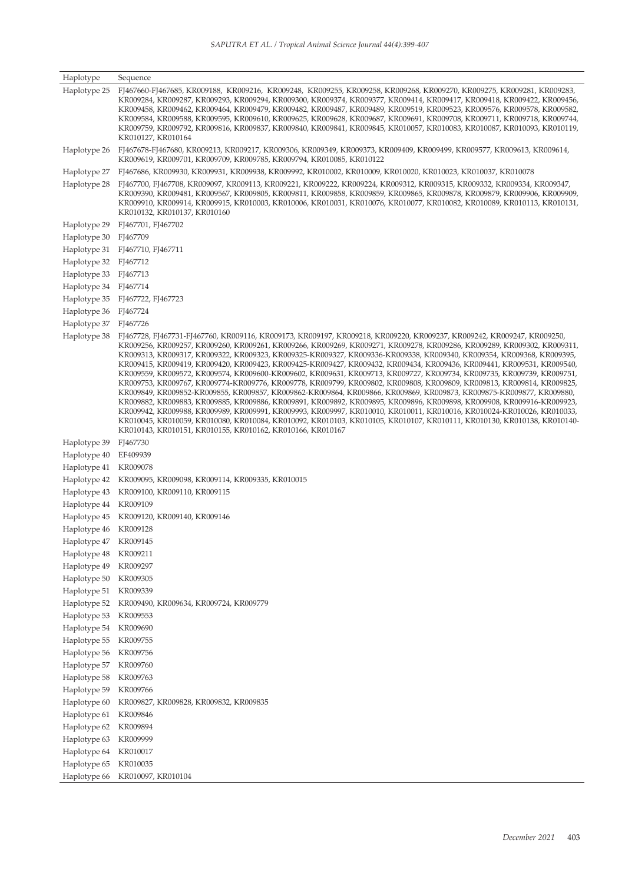| Haplotype    | Sequence                                                                                                                                                                                                                                                                                                                                                                                                                                                                                                                                                                                                                                                                                                                                                                                                                                                                                                                                                                                                                                                                                                                                                                                                                                                                                                                      |
|--------------|-------------------------------------------------------------------------------------------------------------------------------------------------------------------------------------------------------------------------------------------------------------------------------------------------------------------------------------------------------------------------------------------------------------------------------------------------------------------------------------------------------------------------------------------------------------------------------------------------------------------------------------------------------------------------------------------------------------------------------------------------------------------------------------------------------------------------------------------------------------------------------------------------------------------------------------------------------------------------------------------------------------------------------------------------------------------------------------------------------------------------------------------------------------------------------------------------------------------------------------------------------------------------------------------------------------------------------|
| Haplotype 25 | FJ467660-FJ467685, KR009188, KR009216, KR009248, KR009255, KR009258, KR009268, KR009270, KR009275, KR009281, KR009283,<br>KR009284, KR009287, KR009293, KR009294, KR009300, KR009374, KR009377, KR009414, KR009417, KR009418, KR009422, KR009456,<br>KR009458, KR009462, KR009464, KR009479, KR009482, KR009487, KR009489, KR009519, KR009523, KR009576, KR009578, KR009582,<br>KR009584, KR009588, KR009595, KR009610, KR009625, KR009628, KR009687, KR009691, KR009708, KR009711, KR009718, KR009744,<br>KR009759, KR009792, KR009816, KR009837, KR009840, KR009841, KR009845, KR010057, KR010083, KR010087, KR010093, KR010119,<br>KR010127, KR010164                                                                                                                                                                                                                                                                                                                                                                                                                                                                                                                                                                                                                                                                      |
| Haplotype 26 | FJ467678-FJ467680, KR009213, KR009217, KR009306, KR009349, KR009373, KR009409, KR009499, KR009577, KR009613, KR009614,<br>KR009619, KR009701, KR009709, KR009785, KR009794, KR010085, KR010122                                                                                                                                                                                                                                                                                                                                                                                                                                                                                                                                                                                                                                                                                                                                                                                                                                                                                                                                                                                                                                                                                                                                |
| Haplotype 27 | FJ467686, KR009930, KR009931, KR009938, KR009992, KR010002, KR010009, KR010020, KR010023, KR010037, KR010078                                                                                                                                                                                                                                                                                                                                                                                                                                                                                                                                                                                                                                                                                                                                                                                                                                                                                                                                                                                                                                                                                                                                                                                                                  |
| Haplotype 28 | FJ467700, FJ467708, KR009097, KR009113, KR009221, KR009222, KR009224, KR009312, KR009315, KR009332, KR009334, KR009347,<br>KR009390, KR009481, KR009567, KR009805, KR009811, KR009858, KR009859, KR009865, KR009878, KR009879, KR009906, KR009909,<br>KR009910, KR009914, KR009915, KR010003, KR010006, KR010031, KR010076, KR010077, KR010082, KR010089, KR010113, KR010131,<br>KR010132, KR010137, KR010160                                                                                                                                                                                                                                                                                                                                                                                                                                                                                                                                                                                                                                                                                                                                                                                                                                                                                                                 |
| Haplotype 29 | FJ467701, FJ467702                                                                                                                                                                                                                                                                                                                                                                                                                                                                                                                                                                                                                                                                                                                                                                                                                                                                                                                                                                                                                                                                                                                                                                                                                                                                                                            |
| Haplotype 30 | FJ467709                                                                                                                                                                                                                                                                                                                                                                                                                                                                                                                                                                                                                                                                                                                                                                                                                                                                                                                                                                                                                                                                                                                                                                                                                                                                                                                      |
| Haplotype 31 | FJ467710, FJ467711                                                                                                                                                                                                                                                                                                                                                                                                                                                                                                                                                                                                                                                                                                                                                                                                                                                                                                                                                                                                                                                                                                                                                                                                                                                                                                            |
| Haplotype 32 | FJ467712                                                                                                                                                                                                                                                                                                                                                                                                                                                                                                                                                                                                                                                                                                                                                                                                                                                                                                                                                                                                                                                                                                                                                                                                                                                                                                                      |
| Haplotype 33 | FJ467713                                                                                                                                                                                                                                                                                                                                                                                                                                                                                                                                                                                                                                                                                                                                                                                                                                                                                                                                                                                                                                                                                                                                                                                                                                                                                                                      |
| Haplotype 34 | FJ467714                                                                                                                                                                                                                                                                                                                                                                                                                                                                                                                                                                                                                                                                                                                                                                                                                                                                                                                                                                                                                                                                                                                                                                                                                                                                                                                      |
| Haplotype 35 | FJ467722, FJ467723                                                                                                                                                                                                                                                                                                                                                                                                                                                                                                                                                                                                                                                                                                                                                                                                                                                                                                                                                                                                                                                                                                                                                                                                                                                                                                            |
| Haplotype 36 | FJ467724                                                                                                                                                                                                                                                                                                                                                                                                                                                                                                                                                                                                                                                                                                                                                                                                                                                                                                                                                                                                                                                                                                                                                                                                                                                                                                                      |
| Haplotype 37 | FJ467726                                                                                                                                                                                                                                                                                                                                                                                                                                                                                                                                                                                                                                                                                                                                                                                                                                                                                                                                                                                                                                                                                                                                                                                                                                                                                                                      |
| Haplotype 38 | FJ467728, FJ467731-FJ467760, KR009116, KR009173, KR009197, KR009218, KR009220, KR009237, KR009242, KR009247, KR009250,<br>KR009256, KR009257, KR009260, KR009261, KR009266, KR009269, KR009271, KR009278, KR009286, KR009289, KR009302, KR009311,<br>KR009313, KR009317, KR009322, KR009323, KR009325-KR009327, KR009336-KR009338, KR009340, KR009354, KR009368, KR009395,<br>KR009415, KR009419, KR009420, KR009423, KR009425-KR009427, KR009432, KR009434, KR009436, KR009441, KR009531, KR009540,<br>KR009559, KR009572, KR009574, KR009600-KR009602, KR009631, KR009713, KR009727, KR009734, KR009735, KR009739, KR009751,<br>KR009753, KR009767, KR009774-KR009776, KR009778, KR009799, KR009802, KR009808, KR009809, KR009813, KR009814, KR009825,<br>KR009849, KR009852-KR009855, KR009857, KR009862-KR009864, KR009866, KR009869, KR009873, KR009875-KR009877, KR009880,<br>KR009882, KR009883, KR009885, KR009886, KR009891, KR009892, KR009895, KR009896, KR009898, KR009908, KR009916-KR009923,<br>KR009942, KR009988, KR009989, KR009991, KR009993, KR009997, KR010010, KR010011, KR010016, KR010024-KR010026, KR010033,<br>KR010045, KR010059, KR010080, KR010084, KR010092, KR010103, KR010105, KR010107, KR010111, KR010130, KR010138, KR010140-<br>KR010143, KR010151, KR010155, KR010162, KR010166, KR010167 |
| Haplotype 39 | FJ467730                                                                                                                                                                                                                                                                                                                                                                                                                                                                                                                                                                                                                                                                                                                                                                                                                                                                                                                                                                                                                                                                                                                                                                                                                                                                                                                      |
| Haplotype 40 | EF409939                                                                                                                                                                                                                                                                                                                                                                                                                                                                                                                                                                                                                                                                                                                                                                                                                                                                                                                                                                                                                                                                                                                                                                                                                                                                                                                      |
| Haplotype 41 | KR009078                                                                                                                                                                                                                                                                                                                                                                                                                                                                                                                                                                                                                                                                                                                                                                                                                                                                                                                                                                                                                                                                                                                                                                                                                                                                                                                      |
| Haplotype 42 | KR009095, KR009098, KR009114, KR009335, KR010015                                                                                                                                                                                                                                                                                                                                                                                                                                                                                                                                                                                                                                                                                                                                                                                                                                                                                                                                                                                                                                                                                                                                                                                                                                                                              |
| Haplotype 43 | KR009100, KR009110, KR009115                                                                                                                                                                                                                                                                                                                                                                                                                                                                                                                                                                                                                                                                                                                                                                                                                                                                                                                                                                                                                                                                                                                                                                                                                                                                                                  |
| Haplotype 44 | KR009109                                                                                                                                                                                                                                                                                                                                                                                                                                                                                                                                                                                                                                                                                                                                                                                                                                                                                                                                                                                                                                                                                                                                                                                                                                                                                                                      |
| Haplotype 45 | KR009120, KR009140, KR009146                                                                                                                                                                                                                                                                                                                                                                                                                                                                                                                                                                                                                                                                                                                                                                                                                                                                                                                                                                                                                                                                                                                                                                                                                                                                                                  |
| Haplotype 46 | KR009128                                                                                                                                                                                                                                                                                                                                                                                                                                                                                                                                                                                                                                                                                                                                                                                                                                                                                                                                                                                                                                                                                                                                                                                                                                                                                                                      |
| Haplotype 47 | KR009145                                                                                                                                                                                                                                                                                                                                                                                                                                                                                                                                                                                                                                                                                                                                                                                                                                                                                                                                                                                                                                                                                                                                                                                                                                                                                                                      |
| Haplotype 48 | KR009211                                                                                                                                                                                                                                                                                                                                                                                                                                                                                                                                                                                                                                                                                                                                                                                                                                                                                                                                                                                                                                                                                                                                                                                                                                                                                                                      |
| Haplotype 49 | KR009297                                                                                                                                                                                                                                                                                                                                                                                                                                                                                                                                                                                                                                                                                                                                                                                                                                                                                                                                                                                                                                                                                                                                                                                                                                                                                                                      |
| Haplotype 50 | KR009305                                                                                                                                                                                                                                                                                                                                                                                                                                                                                                                                                                                                                                                                                                                                                                                                                                                                                                                                                                                                                                                                                                                                                                                                                                                                                                                      |
| Haplotype 51 | KR009339                                                                                                                                                                                                                                                                                                                                                                                                                                                                                                                                                                                                                                                                                                                                                                                                                                                                                                                                                                                                                                                                                                                                                                                                                                                                                                                      |
| Haplotype 52 | KR009490, KR009634, KR009724, KR009779                                                                                                                                                                                                                                                                                                                                                                                                                                                                                                                                                                                                                                                                                                                                                                                                                                                                                                                                                                                                                                                                                                                                                                                                                                                                                        |
| Haplotype 53 | KR009553                                                                                                                                                                                                                                                                                                                                                                                                                                                                                                                                                                                                                                                                                                                                                                                                                                                                                                                                                                                                                                                                                                                                                                                                                                                                                                                      |
| Haplotype 54 | KR009690                                                                                                                                                                                                                                                                                                                                                                                                                                                                                                                                                                                                                                                                                                                                                                                                                                                                                                                                                                                                                                                                                                                                                                                                                                                                                                                      |
| Haplotype 55 | KR009755                                                                                                                                                                                                                                                                                                                                                                                                                                                                                                                                                                                                                                                                                                                                                                                                                                                                                                                                                                                                                                                                                                                                                                                                                                                                                                                      |
| Haplotype 56 | KR009756                                                                                                                                                                                                                                                                                                                                                                                                                                                                                                                                                                                                                                                                                                                                                                                                                                                                                                                                                                                                                                                                                                                                                                                                                                                                                                                      |
| Haplotype 57 | KR009760                                                                                                                                                                                                                                                                                                                                                                                                                                                                                                                                                                                                                                                                                                                                                                                                                                                                                                                                                                                                                                                                                                                                                                                                                                                                                                                      |
| Haplotype 58 | KR009763                                                                                                                                                                                                                                                                                                                                                                                                                                                                                                                                                                                                                                                                                                                                                                                                                                                                                                                                                                                                                                                                                                                                                                                                                                                                                                                      |
| Haplotype 59 | KR009766                                                                                                                                                                                                                                                                                                                                                                                                                                                                                                                                                                                                                                                                                                                                                                                                                                                                                                                                                                                                                                                                                                                                                                                                                                                                                                                      |
| Haplotype 60 | KR009827, KR009828, KR009832, KR009835                                                                                                                                                                                                                                                                                                                                                                                                                                                                                                                                                                                                                                                                                                                                                                                                                                                                                                                                                                                                                                                                                                                                                                                                                                                                                        |
| Haplotype 61 | KR009846                                                                                                                                                                                                                                                                                                                                                                                                                                                                                                                                                                                                                                                                                                                                                                                                                                                                                                                                                                                                                                                                                                                                                                                                                                                                                                                      |
| Haplotype 62 | KR009894                                                                                                                                                                                                                                                                                                                                                                                                                                                                                                                                                                                                                                                                                                                                                                                                                                                                                                                                                                                                                                                                                                                                                                                                                                                                                                                      |
| Haplotype 63 | KR009999                                                                                                                                                                                                                                                                                                                                                                                                                                                                                                                                                                                                                                                                                                                                                                                                                                                                                                                                                                                                                                                                                                                                                                                                                                                                                                                      |
| Haplotype 64 | KR010017                                                                                                                                                                                                                                                                                                                                                                                                                                                                                                                                                                                                                                                                                                                                                                                                                                                                                                                                                                                                                                                                                                                                                                                                                                                                                                                      |
| Haplotype 65 | KR010035                                                                                                                                                                                                                                                                                                                                                                                                                                                                                                                                                                                                                                                                                                                                                                                                                                                                                                                                                                                                                                                                                                                                                                                                                                                                                                                      |
| Haplotype 66 | KR010097, KR010104                                                                                                                                                                                                                                                                                                                                                                                                                                                                                                                                                                                                                                                                                                                                                                                                                                                                                                                                                                                                                                                                                                                                                                                                                                                                                                            |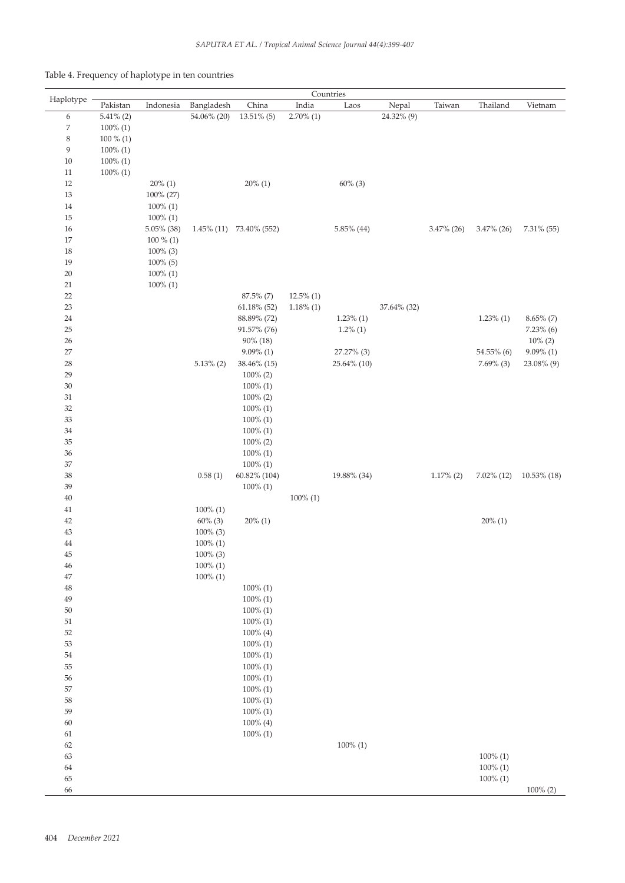| Table 4. Frequency of haplotype in ten countries |  |  |  |  |  |
|--------------------------------------------------|--|--|--|--|--|
|                                                  |  |  |  |  |  |

|                  | Countries    |             |              |                               |              |                           |             |               |                            |                |
|------------------|--------------|-------------|--------------|-------------------------------|--------------|---------------------------|-------------|---------------|----------------------------|----------------|
| Haplotype        | Pakistan     | Indonesia   | Bangladesh   | China                         | India        | Laos                      | Nepal       | Taiwan        | Thailand                   | Vietnam        |
| 6                | $5.41\%$ (2) |             | 54.06% (20)  | 13.51% (5)                    | $2.70\%$ (1) |                           | 24.32% (9)  |               |                            |                |
| $\boldsymbol{7}$ | $100\%$ (1)  |             |              |                               |              |                           |             |               |                            |                |
| 8                | $100\%$ (1)  |             |              |                               |              |                           |             |               |                            |                |
| 9                | $100\%$ (1)  |             |              |                               |              |                           |             |               |                            |                |
| $10\,$           | $100\%$ (1)  |             |              |                               |              |                           |             |               |                            |                |
| $11\,$           | $100\%$ (1)  |             |              |                               |              |                           |             |               |                            |                |
| $12\,$           |              | $20\%$ (1)  |              | $20\%$ (1)                    |              | $60\%$ (3)                |             |               |                            |                |
| 13               |              | 100% (27)   |              |                               |              |                           |             |               |                            |                |
| $14\,$           |              | $100\%$ (1) |              |                               |              |                           |             |               |                            |                |
| $15\,$           |              | $100\% (1)$ |              |                               |              |                           |             |               |                            |                |
| $16\,$           |              | 5.05% (38)  |              | $1.45\%$ (11) $73.40\%$ (552) |              | 5.85% (44)                |             | $3.47\%$ (26) | $3.47\%$ (26)              | 7.31% (55)     |
| $17\,$           |              | $100\%$ (1) |              |                               |              |                           |             |               |                            |                |
| 18               |              | $100\%$ (3) |              |                               |              |                           |             |               |                            |                |
| 19               |              | $100\%$ (5) |              |                               |              |                           |             |               |                            |                |
| $20\,$           |              | $100\%$ (1) |              |                               |              |                           |             |               |                            |                |
| 21               |              | $100\%$ (1) |              |                               |              |                           |             |               |                            |                |
| $22\,$           |              |             |              | 87.5% (7)                     | $12.5\%$ (1) |                           |             |               |                            |                |
| 23               |              |             |              | $61.18\%$ (52)                | $1.18\%$ (1) |                           | 37.64% (32) |               |                            |                |
| $24\,$           |              |             |              | 88.89% (72)                   |              | $1.23\%$ (1)              |             |               | $1.23\%$ (1)               | $8.65\%$ (7)   |
| $25\,$           |              |             |              | 91.57% (76)                   |              | $1.2\%$ (1)               |             |               |                            | $7.23\%$ (6)   |
| $26\,$           |              |             |              | 90% (18)                      |              |                           |             |               |                            | $10\% (2)$     |
| $27\,$<br>$28\,$ |              |             | $5.13\%$ (2) | $9.09\%$ (1)                  |              | 27.27% (3)<br>25.64% (10) |             |               | 54.55% (6)<br>$7.69\%$ (3) | $9.09\%$ (1)   |
| 29               |              |             |              | 38.46% (15)<br>$100\%$ (2)    |              |                           |             |               |                            | 23.08% (9)     |
| $30\,$           |              |             |              | $100\%$ (1)                   |              |                           |             |               |                            |                |
| $31\,$           |              |             |              | $100\%$ (2)                   |              |                           |             |               |                            |                |
| $32\,$           |              |             |              | $100\%$ (1)                   |              |                           |             |               |                            |                |
| 33               |              |             |              | $100\%$ (1)                   |              |                           |             |               |                            |                |
| $34\,$           |              |             |              | $100\%$ (1)                   |              |                           |             |               |                            |                |
| $35\,$           |              |             |              | $100\%$ (2)                   |              |                           |             |               |                            |                |
| $36\,$           |              |             |              | $100\%$ (1)                   |              |                           |             |               |                            |                |
| $37\,$           |              |             |              | $100\%$ (1)                   |              |                           |             |               |                            |                |
| $38\,$           |              |             | 0.58(1)      | 60.82% (104)                  |              | 19.88% (34)               |             | $1.17\%$ (2)  | $7.02\%$ (12)              | $10.53\%$ (18) |
| 39               |              |             |              | $100\%$ (1)                   |              |                           |             |               |                            |                |
| $40\,$           |              |             |              |                               | $100\%$ (1)  |                           |             |               |                            |                |
| $41\,$           |              |             | $100\%$ (1)  |                               |              |                           |             |               |                            |                |
| $42\,$           |              |             | $60\%$ (3)   | $20\%$ (1)                    |              |                           |             |               | $20\%$ (1)                 |                |
| $43\,$           |              |             | $100\%$ (3)  |                               |              |                           |             |               |                            |                |
| 44               |              |             | $100\% (1)$  |                               |              |                           |             |               |                            |                |
| 45               |              |             | $100\%$ (3)  |                               |              |                           |             |               |                            |                |
| 46               |              |             | $100\% (1)$  |                               |              |                           |             |               |                            |                |
| $47\,$           |              |             | $100\%$ (1)  |                               |              |                           |             |               |                            |                |
| $48\,$           |              |             |              | $100\%$ (1)                   |              |                           |             |               |                            |                |
| $49\,$           |              |             |              | $100\% (1)$                   |              |                           |             |               |                            |                |
| $50\,$           |              |             |              | $100\%$ (1)                   |              |                           |             |               |                            |                |
| $51\,$           |              |             |              | $100\%$ (1)                   |              |                           |             |               |                            |                |
| 52               |              |             |              | $100\%$ (4)                   |              |                           |             |               |                            |                |
| 53               |              |             |              | $100\% (1)$                   |              |                           |             |               |                            |                |
| 54               |              |             |              | $100\%$ (1)                   |              |                           |             |               |                            |                |
| 55               |              |             |              | $100\%$ (1)                   |              |                           |             |               |                            |                |
| 56               |              |             |              | $100\%$ (1)                   |              |                           |             |               |                            |                |
| $57\,$           |              |             |              | $100\%$ (1)                   |              |                           |             |               |                            |                |
| 58               |              |             |              | $100\%$ (1)                   |              |                           |             |               |                            |                |
| 59               |              |             |              | $100\%$ (1)                   |              |                           |             |               |                            |                |
| $60\,$           |              |             |              | $100\%$ (4)                   |              |                           |             |               |                            |                |
| 61               |              |             |              | $100\%$ (1)                   |              |                           |             |               |                            |                |
| 62               |              |             |              |                               |              | $100\%$ (1)               |             |               |                            |                |
| 63               |              |             |              |                               |              |                           |             |               | $100\%$ (1)                |                |
| 64               |              |             |              |                               |              |                           |             |               | $100\%$ (1)                |                |
| 65               |              |             |              |                               |              |                           |             |               | $100\%$ (1)                |                |
| 66               |              |             |              |                               |              |                           |             |               |                            | $100\%$ (2)    |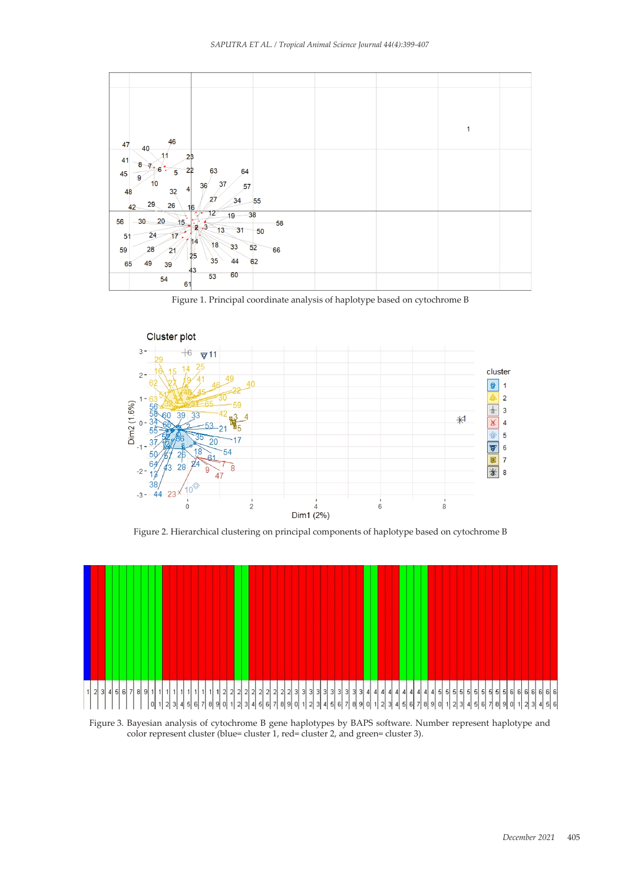

Figure 1. Principal coordinate analysis of haplotype based on cytochrome B Figure 1. Principal coordinate analysis of haplotype based on cytochrome B



Figure 2. Hierarchical clustering on principal components of haplotype based on cytochrome B Figure 2. Hierarchical clustering on principal components of haplotype based on cytochrome B



Figure 3. Bayesian analysis of cytochrome B gene haplotypes by BAPS software. Number represent haplotype and rigure 5. Bayesian analysis of cytochrome B gene haplotypes by BAPS software. Number<br>color represent cluster (blue= cluster 1, red= cluster 2, and green= cluster 3).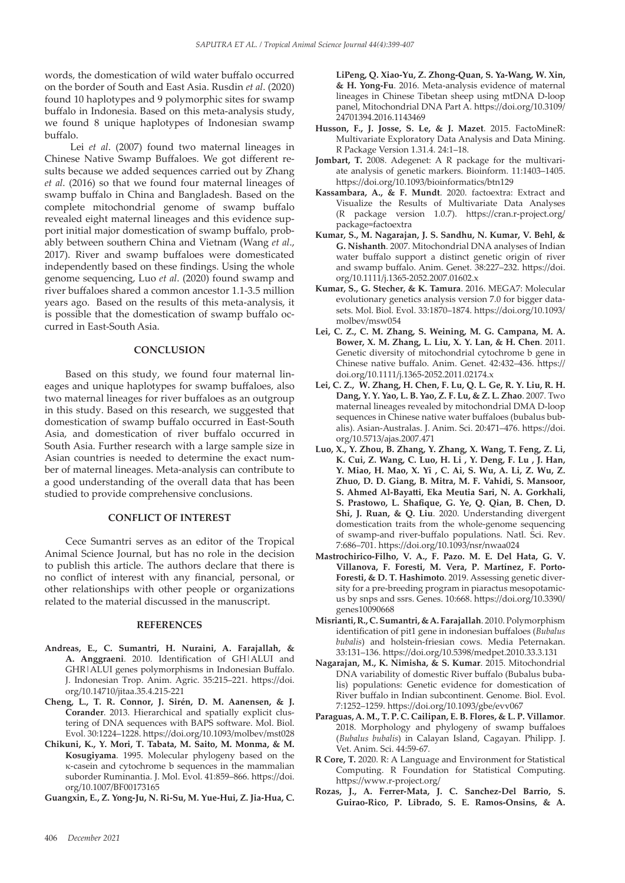words, the domestication of wild water buffalo occurred on the border of South and East Asia. Rusdin *et al*. (2020) found 10 haplotypes and 9 polymorphic sites for swamp buffalo in Indonesia. Based on this meta-analysis study, we found 8 unique haplotypes of Indonesian swamp buffalo.

 Lei *et al*. (2007) found two maternal lineages in Chinese Native Swamp Buffaloes. We got different results because we added sequences carried out by Zhang *et al*. (2016) so that we found four maternal lineages of swamp buffalo in China and Bangladesh. Based on the complete mitochondrial genome of swamp buffalo revealed eight maternal lineages and this evidence support initial major domestication of swamp buffalo, probably between southern China and Vietnam (Wang *et al*., 2017). River and swamp buffaloes were domesticated independently based on these findings. Using the whole genome sequencing, Luo *et al*. (2020) found swamp and river buffaloes shared a common ancestor 1.1-3.5 million years ago. Based on the results of this meta-analysis, it is possible that the domestication of swamp buffalo occurred in East-South Asia.

# **CONCLUSION**

Based on this study, we found four maternal lineages and unique haplotypes for swamp buffaloes, also two maternal lineages for river buffaloes as an outgroup in this study. Based on this research, we suggested that domestication of swamp buffalo occurred in East-South Asia, and domestication of river buffalo occurred in South Asia. Further research with a large sample size in Asian countries is needed to determine the exact number of maternal lineages. Meta-analysis can contribute to a good understanding of the overall data that has been studied to provide comprehensive conclusions.

#### **CONFLICT OF INTEREST**

Cece Sumantri serves as an editor of the Tropical Animal Science Journal, but has no role in the decision to publish this article. The authors declare that there is no conflict of interest with any financial, personal, or other relationships with other people or organizations related to the material discussed in the manuscript.

## **REFERENCES**

- **Andreas, E., C. Sumantri, H. Nuraini, A. Farajallah, & A. Anggraeni**. 2010. Identification of GH|ALUI and GHR|ALUI genes polymorphisms in Indonesian Buffalo. J. Indonesian Trop. Anim. Agric. 35:215–221. https://doi. org/10.14710/jitaa.35.4.215-221
- **Cheng, L., T. R. Connor, J. Sirén, D. M. Aanensen, & J. Corander**. 2013. Hierarchical and spatially explicit clustering of DNA sequences with BAPS software. Mol. Biol. Evol. 30:1224–1228. https://doi.org/10.1093/molbev/mst028
- **Chikuni, K., Y. Mori, T. Tabata, M. Saito, M. Monma, & M. Kosugiyama**. 1995. Molecular phylogeny based on the κ-casein and cytochrome b sequences in the mammalian suborder Ruminantia. J. Mol. Evol. 41:859–866. https://doi. org/10.1007/BF00173165
- **Guangxin, E., Z. Yong-Ju, N. Ri-Su, M. Yue-Hui, Z. Jia-Hua, C.**

**LiPeng, Q. Xiao-Yu, Z. Zhong-Quan, S. Ya-Wang, W. Xin, & H. Yong-Fu**. 2016. Meta-analysis evidence of maternal lineages in Chinese Tibetan sheep using mtDNA D-loop panel, Mitochondrial DNA Part A. https://doi.org/10.3109/ 24701394.2016.1143469

- **Husson, F., J. Josse, S. Le, & J. Mazet**. 2015. FactoMineR: Multivariate Exploratory Data Analysis and Data Mining. R Package Version 1.31.4. 24:1–18.
- Jombart, T. 2008. Adegenet: A R package for the multivariate analysis of genetic markers. Bioinform. 11:1403–1405. https://doi.org/10.1093/bioinformatics/btn129
- **Kassambara, A., & F. Mundt**. 2020. factoextra: Extract and Visualize the Results of Multivariate Data Analyses (R package version 1.0.7). https://cran.r-project.org/ package=factoextra
- **Kumar, S., M. Nagarajan, J. S. Sandhu, N. Kumar, V. Behl, & G. Nishanth**. 2007. Mitochondrial DNA analyses of Indian water buffalo support a distinct genetic origin of river and swamp buffalo. Anim. Genet. 38:227–232. https://doi. org/10.1111/j.1365-2052.2007.01602.x
- **Kumar, S., G. Stecher, & K. Tamura**. 2016. MEGA7: Molecular evolutionary genetics analysis version 7.0 for bigger datasets. Mol. Biol. Evol. 33:1870–1874. https://doi.org/10.1093/ molbev/msw054
- **Lei, C. Z., C. M. Zhang, S. Weining, M. G. Campana, M. A. Bower, X. M. Zhang, L. Liu, X. Y. Lan, & H. Chen**. 2011. Genetic diversity of mitochondrial cytochrome b gene in Chinese native buffalo. Anim. Genet. 42:432–436. https:// doi.org/10.1111/j.1365-2052.2011.02174.x
- **Lei, C. Z., W. Zhang, H. Chen, F. Lu, Q. L. Ge, R. Y. Liu, R. H. Dang, Y. Y. Yao, L. B. Yao, Z. F. Lu, & Z. L. Zhao**. 2007. Two maternal lineages revealed by mitochondrial DMA D-loop sequences in Chinese native water buffaloes (bubalus bubalis). Asian-Australas. J. Anim. Sci. 20:471–476. https://doi. org/10.5713/ajas.2007.471
- **Luo, X., Y. Zhou, B. Zhang, Y. Zhang, X. Wang, T. Feng, Z. Li, K. Cui, Z. Wang, C. Luo, H. Li , Y. Deng, F. Lu , J. Han, Y. Miao, H. Mao, X. Yi , C. Ai, S. Wu, A. Li, Z. Wu, Z. Zhuo, D. D. Giang, B. Mitra, M. F. Vahidi, S. Mansoor, S. Ahmed Al-Bayatti, Eka Meutia Sari, N. A. Gorkhali, S. Prastowo, L. Shafique, G. Ye, Q. Qian, B. Chen, D. Shi, J. Ruan, & Q. Liu**. 2020. Understanding divergent domestication traits from the whole-genome sequencing of swamp-and river-buffalo populations. Natl. Sci. Rev. 7:686–701. https://doi.org/10.1093/nsr/nwaa024
- **Mastrochirico-Filho, V. A., F. Pazo. M. E. Del Hata, G. V. Villanova, F. Foresti, M. Vera, P. Martínez, F. Porto-Foresti, & D. T. Hashimoto**. 2019. Assessing genetic diversity for a pre-breeding program in piaractus mesopotamicus by snps and ssrs. Genes. 10:668. https://doi.org/10.3390/ genes10090668
- **Misrianti, R., C. Sumantri, & A. Farajallah**. 2010. Polymorphism identification of pit1 gene in indonesian buffaloes (*Bubalus bubalis*) and holstein-friesian cows. Media Peternakan. 33:131–136. https://doi.org/10.5398/medpet.2010.33.3.131
- **Nagarajan, M., K. Nimisha, & S. Kumar**. 2015. Mitochondrial DNA variability of domestic River buffalo (Bubalus bubalis) populations: Genetic evidence for domestication of River buffalo in Indian subcontinent. Genome. Biol. Evol. 7:1252–1259. https://doi.org/10.1093/gbe/evv067
- **Paraguas, A. M., T. P. C. Cailipan, E. B. Flores, & L. P. Villamor**. 2018. Morphology and phylogeny of swamp buffaloes (*Bubalus bubalis*) in Calayan Island, Cagayan. Philipp. J. Vet. Anim. Sci. 44:59-67*.*
- **R Core, T.** 2020. R: A Language and Environment for Statistical Computing. R Foundation for Statistical Computing. https://www.r-project.org/
- **Rozas, J., A. Ferrer-Mata, J. C. Sanchez-Del Barrio, S. Guirao-Rico, P. Librado, S. E. Ramos-Onsins, & A.**